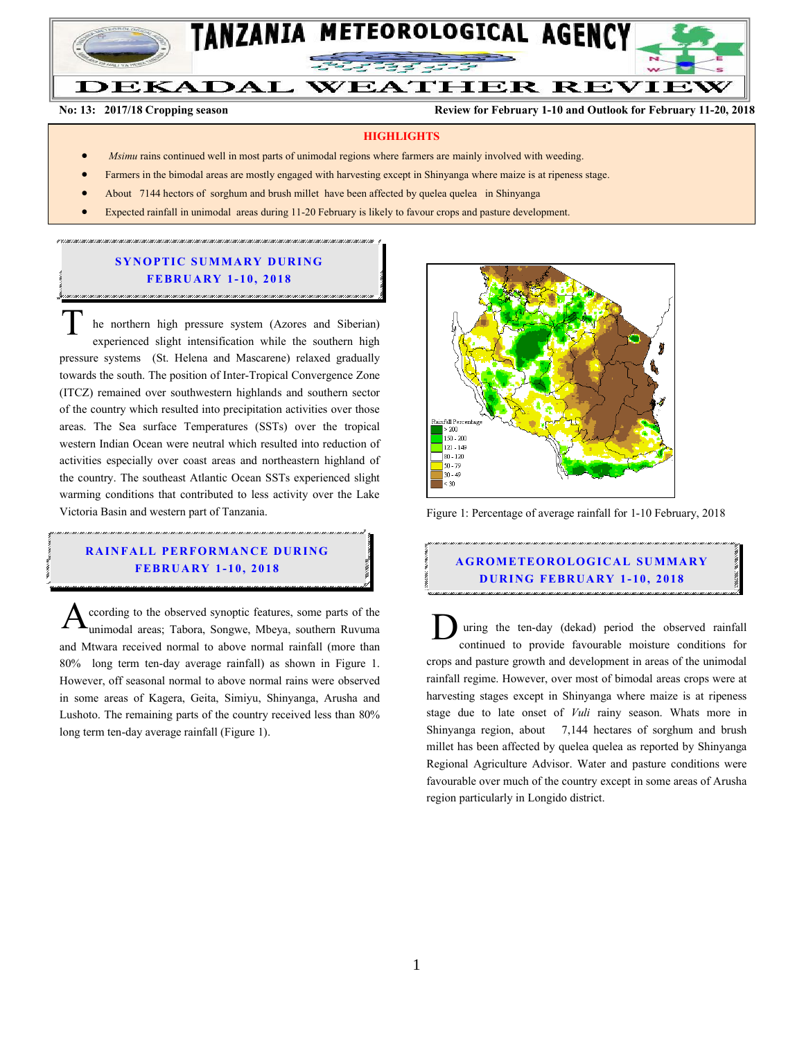

#### **DEKADAL WEATHER REVIEW**

**No: 13: 2017/18 Cropping season Review for February 1-10 and Outlook for February 11-20, 2018**

### **HIGHLIGHTS**

- *Msimu* rains continued well in most parts of unimodal regions where farmers are mainly involved with weeding.
- Farmers in the bimodal areas are mostly engaged with harvesting except in Shinyanga where maize is at ripeness stage.
- About 7144 hectors of sorghum and brush millet have been affected by quelea quelea in Shinyanga
- Expected rainfall in unimodal areas during 11-20 February is likely to favour crops and pasture development.

# **SYNOPTIC SUMMARY DURING FEBR U A RY 1- 10 , 2018**

he northern high pressure system (Azores and Siberian) experienced slight intensification while the southern high pressure systems (St. Helena and Mascarene) relaxed gradually towards the south. The position of Inter-Tropical Convergence Zone (ITCZ) remained over southwestern highlands and southern sector of the country which resulted into precipitation activities over those areas. The Sea surface Temperatures (SSTs) over the tropical western Indian Ocean were neutral which resulted into reduction of activities especially over coast areas and northeastern highland of the country. The southeast Atlantic Ocean SSTs experienced slight warming conditions that contributed to less activity over the Lake Victoria Basin and western part of Tanzania.  $\overline{T}$ 

# **RAINFALL PERFORMANCE DURING FEBR U A RY 1- 10, 201 8**

ccording to the observed synoptic features, some parts of the unimodal areas; Tabora, Songwe, Mbeya, southern Ruvuma and Mtwara received normal to above normal rainfall (more than 80% long term ten-day average rainfall) as shown in Figure 1. However, off seasonal normal to above normal rains were observed in some areas of Kagera, Geita, Simiyu, Shinyanga, Arusha and Lushoto. The remaining parts of the country received less than 80% long term ten-day average rainfall (Figure 1). According to the observed synoptic features, some parts of the<br>
unimodal areas; Tabora, Songwe, Mbeya, southern Ruvuma<br>
and Mtwara received normal to above normal rainfall (more than



Figure 1: Percentage of average rainfall for 1-10 February, 2018

# **A G RO METEO R O LOG ICA L SU MMA RY D UR ING FEBR UA RY 1- 10, 2018**

uring the ten-day (dekad) period the observed rainfall continued to provide favourable moisture conditions for crops and pasture growth and development in areas of the unimodal rainfall regime. However, over most of bimodal areas crops were at harvesting stages except in Shinyanga where maize is at ripeness stage due to late onset of *Vuli* rainy season. Whats more in Shinyanga region, about 7,144 hectares of sorghum and brush millet has been affected by quelea quelea as reported by Shinyanga Regional Agriculture Advisor. Water and pasture conditions were favourable over much of the country except in some areas of Arusha region particularly in Longido district.